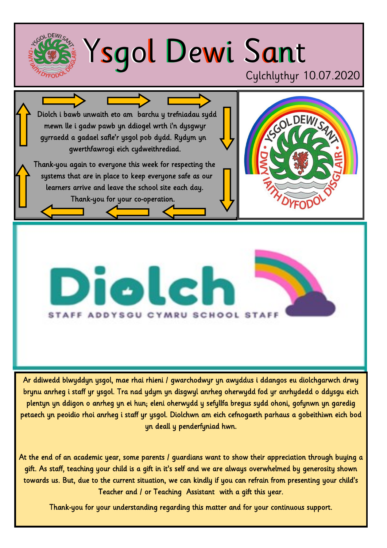

Ar ddiwedd blwyddyn ysgol, mae rhai rhieni / gwarchodwyr yn awyddus i ddangos eu diolchgarwch drwy brynu anrheg i staff yr ysgol. Tra nad ydym yn disgwyl anrheg oherwydd fod yr anrhydedd o ddysgu eich plentyn yn ddigon o anrheg yn ei hun; eleni oherwydd y sefyllfa bregus sydd ohoni, gofynwn yn garedig petaech yn peoidio rhoi anrheg i staff yr ysgol. Diolchwn am eich cefnogaeth parhaus a gobeithiwn eich bod yn deall y penderfyniad hwn.

At the end of an academic year, some parents / guardians want to show their appreciation through buying a gift. As staff, teaching your child is a gift in it's self and we are always overwhelmed by generosity shown towards us. But, due to the current situation, we can kindly if you can refrain from presenting your child's Teacher and / or Teaching Assistant with a gift this year.

Thank-you for your understanding regarding this matter and for your continuous support.